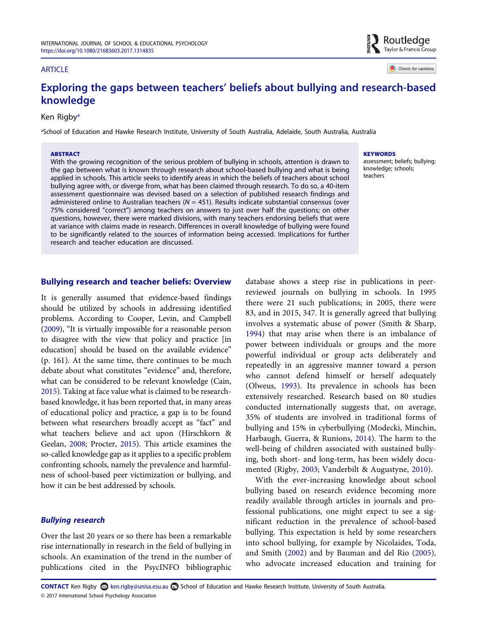#### **ARTICLE**

Exploring the gaps between teachers' beliefs about bullying and research-based knowledge

Ken Rigb[ya](#page-0-0)

<span id="page-0-0"></span><sup>a</sup>School of Education and Hawke Research Institute, University of South Australia, Adelaide, South Australia, Australia

#### ABSTRACT

With the growing recognition of the serious problem of bullying in schools, attention is drawn to the gap between what is known through research about school-based bullying and what is being applied in schools. This article seeks to identify areas in which the beliefs of teachers about school bullying agree with, or diverge from, what has been claimed through research. To do so, a 40-item assessment questionnaire was devised based on a selection of published research findings and administered online to Australian teachers ( $N = 451$ ). Results indicate substantial consensus (over 75% considered "correct") among teachers on answers to just over half the questions; on other questions, however, there were marked divisions, with many teachers endorsing beliefs that were at variance with claims made in research. Differences in overall knowledge of bullying were found to be significantly related to the sources of information being accessed. Implications for further research and teacher education are discussed.

## Bullying research and teacher beliefs: Overview

It is generally assumed that evidence-based findings should be utilized by schools in addressing identified problems. According to Cooper, Levin, and Campbell ([2009](#page-9-0)), "It is virtually impossible for a reasonable person to disagree with the view that policy and practice [in education] should be based on the available evidence" (p. 161). At the same time, there continues to be much debate about what constitutes "evidence" and, therefore, what can be considered to be relevant knowledge (Cain, [2015\)](#page-8-0). Taking at face value what is claimed to be researchbased knowledge, it has been reported that, in many areas of educational policy and practice, a gap is to be found between what researchers broadly accept as "fact" and what teachers believe and act upon (Hirschkorn & Geelan, [2008](#page-9-1); Procter, [2015\)](#page-10-0). This article examines the so-called knowledge gap as it applies to a specific problem confronting schools, namely the prevalence and harmfulness of school-based peer victimization or bullying, and how it can be best addressed by schools.

#### Bullying research

Over the last 20 years or so there has been a remarkable rise internationally in research in the field of bullying in schools. An examination of the trend in the number of publications cited in the PsycINFO bibliographic database shows a steep rise in publications in peerreviewed journals on bullying in schools. In 1995 there were 21 such publications; in 2005, there were 83, and in 2015, 347. It is generally agreed that bullying involves a systematic abuse of power (Smith & Sharp, [1994](#page-10-1)) that may arise when there is an imbalance of power between individuals or groups and the more powerful individual or group acts deliberately and repeatedly in an aggressive manner toward a person who cannot defend himself or herself adequately (Olweus, [1993](#page-9-2)). Its prevalence in schools has been extensively researched. Research based on 80 studies conducted internationally suggests that, on average, 35% of students are involved in traditional forms of bullying and 15% in cyberbullying (Modecki, Minchin, Harbaugh, Guerra, & Runions, [2014](#page-9-3)). The harm to the well-being of children associated with sustained bullying, both short- and long-term, has been widely documented (Rigby, [2003;](#page-10-2) Vanderbilt & Augustyne, [2010\)](#page-10-3).

With the ever-increasing knowledge about school bullying based on research evidence becoming more readily available through articles in journals and professional publications, one might expect to see a significant reduction in the prevalence of school-based bullying. This expectation is held by some researchers into school bullying, for example by Nicolaides, Toda, and Smith [\(2002](#page-9-4)) and by Bauman and del Rio ([2005\)](#page-8-1), who advocate increased education and training for

CONTACT Ken Rigby <a>>
ken.rigby@unisa.esu.au <a>
School of Education and Hawke Research Institute, University of South Australia. © 2017 International School Psychology Association

#### **KEYWORDS**

assessment; beliefs; bullying; knowledge; schools; teachers

Check for updates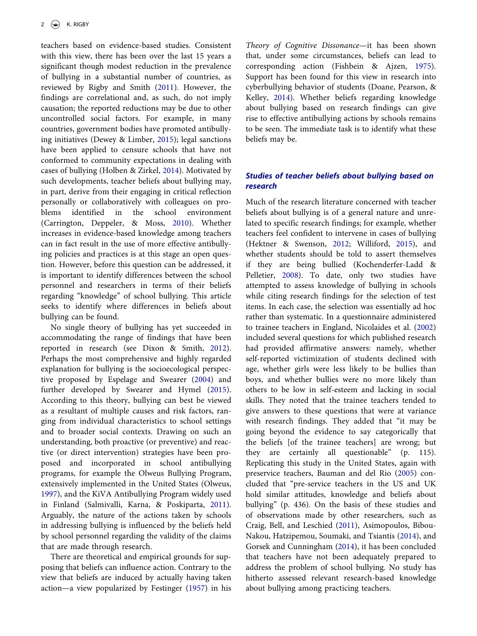teachers based on evidence-based studies. Consistent with this view, there has been over the last 15 years a significant though modest reduction in the prevalence of bullying in a substantial number of countries, as reviewed by Rigby and Smith [\(2011\)](#page-10-4). However, the findings are correlational and, as such, do not imply causation; the reported reductions may be due to other uncontrolled social factors. For example, in many countries, government bodies have promoted antibullying initiatives (Dewey & Limber, [2015](#page-9-5)); legal sanctions have been applied to censure schools that have not conformed to community expectations in dealing with cases of bullying (Holben & Zirkel, [2014\)](#page-9-6). Motivated by such developments, teacher beliefs about bullying may, in part, derive from their engaging in critical reflection personally or collaboratively with colleagues on problems identified in the school environment (Carrington, Deppeler, & Moss, [2010](#page-8-2)). Whether increases in evidence-based knowledge among teachers can in fact result in the use of more effective antibullying policies and practices is at this stage an open question. However, before this question can be addressed, it is important to identify differences between the school personnel and researchers in terms of their beliefs regarding "knowledge" of school bullying. This article seeks to identify where differences in beliefs about bullying can be found.

No single theory of bullying has yet succeeded in accommodating the range of findings that have been reported in research (see Dixon & Smith, [2012](#page-9-7)). Perhaps the most comprehensive and highly regarded explanation for bullying is the socioecological perspective proposed by Espelage and Swearer [\(2004](#page-9-8)) and further developed by Swearer and Hymel ([2015](#page-10-5)). According to this theory, bullying can best be viewed as a resultant of multiple causes and risk factors, ranging from individual characteristics to school settings and to broader social contexts. Drawing on such an understanding, both proactive (or preventive) and reactive (or direct intervention) strategies have been proposed and incorporated in school antibullying programs, for example the Olweus Bullying Program, extensively implemented in the United States (Olweus, [1997](#page-9-9)), and the KiVA Antibullying Program widely used in Finland (Salmivalli, Karna, & Poskiparta, [2011\)](#page-10-6). Arguably, the nature of the actions taken by schools in addressing bullying is influenced by the beliefs held by school personnel regarding the validity of the claims that are made through research.

There are theoretical and empirical grounds for supposing that beliefs can influence action. Contrary to the view that beliefs are induced by actually having taken action—a view popularized by Festinger ([1957](#page-9-10)) in his Theory of Cognitive Dissonance—it has been shown that, under some circumstances, beliefs can lead to corresponding action (Fishbein & Ajzen, [1975\)](#page-9-11). Support has been found for this view in research into cyberbullying behavior of students (Doane, Pearson, & Kelley, [2014](#page-9-12)). Whether beliefs regarding knowledge about bullying based on research findings can give rise to effective antibullying actions by schools remains to be seen. The immediate task is to identify what these beliefs may be.

# Studies of teacher beliefs about bullying based on research

Much of the research literature concerned with teacher beliefs about bullying is of a general nature and unrelated to specific research findings; for example, whether teachers feel confident to intervene in cases of bullying (Hektner & Swenson, [2012;](#page-9-13) Williford, [2015\)](#page-10-7), and whether students should be told to assert themselves if they are being bullied (Kochenderfer-Ladd & Pelletier, [2008](#page-9-14)). To date, only two studies have attempted to assess knowledge of bullying in schools while citing research findings for the selection of test items. In each case, the selection was essentially ad hoc rather than systematic. In a questionnaire administered to trainee teachers in England, Nicolaides et al. [\(2002](#page-9-4)) included several questions for which published research had provided affirmative answers: namely, whether self-reported victimization of students declined with age, whether girls were less likely to be bullies than boys, and whether bullies were no more likely than others to be low in self-esteem and lacking in social skills. They noted that the trainee teachers tended to give answers to these questions that were at variance with research findings. They added that "it may be going beyond the evidence to say categorically that the beliefs [of the trainee teachers] are wrong; but they are certainly all questionable" (p. 115). Replicating this study in the United States, again with preservice teachers, Bauman and del Rio [\(2005\)](#page-8-1) concluded that "pre-service teachers in the US and UK hold similar attitudes, knowledge and beliefs about bullying" (p. 436). On the basis of these studies and of observations made by other researchers, such as Craig, Bell, and Leschied ([2011\)](#page-9-15), Asimopoulos, Bibou-Nakou, Hatzipemou, Soumaki, and Tsiantis [\(2014](#page-8-3)), and Gorsek and Cunningham [\(2014](#page-9-16)), it has been concluded that teachers have not been adequately prepared to address the problem of school bullying. No study has hitherto assessed relevant research-based knowledge about bullying among practicing teachers.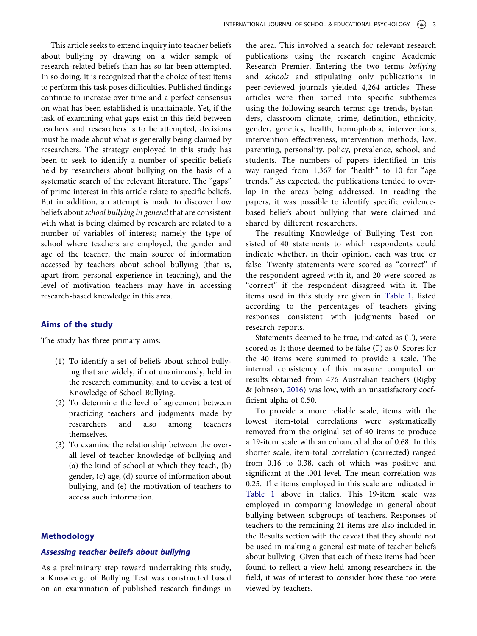This article seeks to extend inquiry into teacher beliefs about bullying by drawing on a wider sample of research-related beliefs than has so far been attempted. In so doing, it is recognized that the choice of test items to perform this task poses difficulties. Published findings continue to increase over time and a perfect consensus on what has been established is unattainable. Yet, if the task of examining what gaps exist in this field between teachers and researchers is to be attempted, decisions must be made about what is generally being claimed by researchers. The strategy employed in this study has been to seek to identify a number of specific beliefs held by researchers about bullying on the basis of a systematic search of the relevant literature. The "gaps" of prime interest in this article relate to specific beliefs. But in addition, an attempt is made to discover how beliefs about school bullying in general that are consistent with what is being claimed by research are related to a number of variables of interest; namely the type of school where teachers are employed, the gender and age of the teacher, the main source of information accessed by teachers about school bullying (that is, apart from personal experience in teaching), and the level of motivation teachers may have in accessing research-based knowledge in this area.

#### Aims of the study

The study has three primary aims:

- (1) To identify a set of beliefs about school bullying that are widely, if not unanimously, held in the research community, and to devise a test of Knowledge of School Bullying.
- (2) To determine the level of agreement between practicing teachers and judgments made by researchers and also among teachers themselves.
- (3) To examine the relationship between the overall level of teacher knowledge of bullying and (a) the kind of school at which they teach, (b) gender, (c) age, (d) source of information about bullying, and (e) the motivation of teachers to access such information.

#### Methodology

#### Assessing teacher beliefs about bullying

As a preliminary step toward undertaking this study, a Knowledge of Bullying Test was constructed based on an examination of published research findings in

the area. This involved a search for relevant research publications using the research engine Academic Research Premier. Entering the two terms bullying and schools and stipulating only publications in peer-reviewed journals yielded 4,264 articles. These articles were then sorted into specific subthemes using the following search terms: age trends, bystanders, classroom climate, crime, definition, ethnicity, gender, genetics, health, homophobia, interventions, intervention effectiveness, intervention methods, law, parenting, personality, policy, prevalence, school, and students. The numbers of papers identified in this way ranged from 1,367 for "health" to 10 for "age trends." As expected, the publications tended to overlap in the areas being addressed. In reading the papers, it was possible to identify specific evidencebased beliefs about bullying that were claimed and shared by different researchers.

The resulting Knowledge of Bullying Test consisted of 40 statements to which respondents could indicate whether, in their opinion, each was true or false. Twenty statements were scored as "correct" if the respondent agreed with it, and 20 were scored as "correct" if the respondent disagreed with it. The items used in this study are given in [Table 1,](#page-3-0) listed according to the percentages of teachers giving responses consistent with judgments based on research reports.

Statements deemed to be true, indicated as (T), were scored as 1; those deemed to be false (F) as 0. Scores for the 40 items were summed to provide a scale. The internal consistency of this measure computed on results obtained from 476 Australian teachers (Rigby & Johnson, [2016\)](#page-10-8) was low, with an unsatisfactory coefficient alpha of 0.50.

To provide a more reliable scale, items with the lowest item-total correlations were systematically removed from the original set of 40 items to produce a 19-item scale with an enhanced alpha of 0.68. In this shorter scale, item-total correlation (corrected) ranged from 0.16 to 0.38, each of which was positive and significant at the .001 level. The mean correlation was 0.25. The items employed in this scale are indicated in [Table 1](#page-3-0) above in italics. This 19-item scale was employed in comparing knowledge in general about bullying between subgroups of teachers. Responses of teachers to the remaining 21 items are also included in the Results section with the caveat that they should not be used in making a general estimate of teacher beliefs about bullying. Given that each of these items had been found to reflect a view held among researchers in the field, it was of interest to consider how these too were viewed by teachers.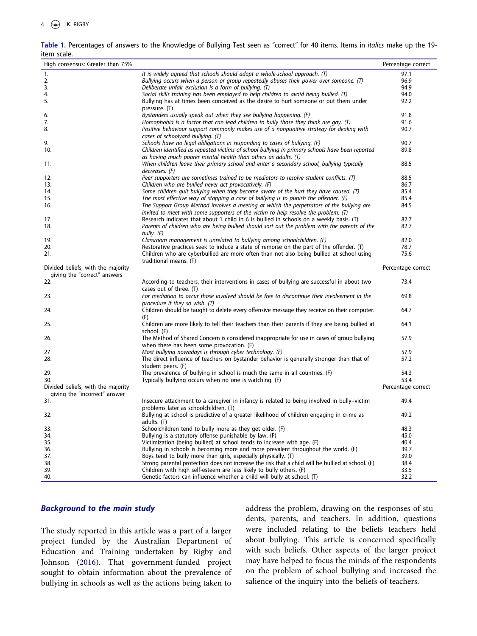<span id="page-3-0"></span>

| Table 1. Percentages of answers to the Knowledge of Bullying Test seen as "correct" for 40 items. Items in <i>italics</i> make up the 19- |  |  |  |  |  |  |  |  |
|-------------------------------------------------------------------------------------------------------------------------------------------|--|--|--|--|--|--|--|--|
| item scale.                                                                                                                               |  |  |  |  |  |  |  |  |

| High consensus: Greater than 75%   |                                                                                                   | Percentage correct |
|------------------------------------|---------------------------------------------------------------------------------------------------|--------------------|
| 1.                                 | It is widely agreed that schools should adopt a whole-school approach. (T)                        | 97.1               |
| 2.                                 | Bullying occurs when a person or group repeatedly abuses their power over someone. (T)            | 96.9               |
| 3.                                 | Deliberate unfair exclusion is a form of bullying. (T)                                            | 94.9               |
| 4.                                 | Social skills training has been employed to help children to avoid being bullied. (T)             | 94.0               |
| 5.                                 | Bullying has at times been conceived as the desire to hurt someone or put them under              | 92.2               |
|                                    | pressure. (T)                                                                                     |                    |
| 6.                                 | Bystanders usually speak out when they see bullying happening. (F)                                | 91.8               |
| 7.                                 | Homophobia is a factor that can lead children to bully those they think are gay. (T)              | 91.6               |
| 8.                                 | Positive behaviour support commonly makes use of a nonpunitive strategy for dealing with          | 90.7               |
|                                    | cases of schoolyard bullying. (T)                                                                 |                    |
| 9.                                 | Schools have no legal obligations in responding to cases of bullying. (F)                         | 90.7               |
|                                    | Children identified as repeated victims of school bullying in primary schools have been reported  | 89.8               |
| 10.                                |                                                                                                   |                    |
|                                    | as having much poorer mental health than others as adults. (T)                                    |                    |
| 11.                                | When children leave their primary school and enter a secondary school, bullying typically         | 88.5               |
|                                    | decreases. (F)                                                                                    |                    |
| 12.                                | Peer supporters are sometimes trained to be mediators to resolve student conflicts. (T)           | 88.5               |
| 13.                                | Children who are bullied never act provocatively. (F)                                             | 86.7               |
| 14.                                | Some children quit bullying when they become aware of the hurt they have caused. (T)              | 85.4               |
| 15.                                | The most effective way of stopping a case of bullying is to punish the offender. $(F)$            | 85.4               |
| 16.                                | The Support Group Method involves a meeting at which the perpetrators of the bullying are         | 84.5               |
|                                    | invited to meet with some supporters of the victim to help resolve the problem. (T)               |                    |
| 17.                                | Research indicates that about 1 child in 6 is bullied in schools on a weekly basis. (T)           | 82.7               |
| 18.                                | Parents of children who are being bullied should sort out the problem with the parents of the     | 82.7               |
|                                    | bully. (F)                                                                                        |                    |
|                                    |                                                                                                   | 82.0               |
| 19.                                | Classroom management is unrelated to bullying among schoolchildren. (F)                           |                    |
| 20.                                | Restorative practices seek to induce a state of remorse on the part of the offender. (T)          | 78.7               |
| 21.                                | Children who are cyberbullied are more often than not also being bullied at school using          | 75.6               |
|                                    | traditional means. (T)                                                                            |                    |
| Divided beliefs, with the majority |                                                                                                   | Percentage correct |
| giving the "correct" answers       |                                                                                                   |                    |
| 22.                                | According to teachers, their interventions in cases of bullying are successful in about two       | 73.4               |
|                                    | cases out of three. (T)                                                                           |                    |
| 23.                                | For mediation to occur those involved should be free to discontinue their involvement in the      | 69.8               |
|                                    | procedure if they so wish. (T)                                                                    |                    |
| 24.                                | Children should be taught to delete every offensive message they receive on their computer.       | 64.7               |
|                                    | (F)                                                                                               |                    |
| 25.                                |                                                                                                   | 64.1               |
|                                    | Children are more likely to tell their teachers than their parents if they are being bullied at   |                    |
|                                    | school. (F)                                                                                       |                    |
| 26.                                | The Method of Shared Concern is considered inappropriate for use in cases of group bullying       | 57.9               |
|                                    | when there has been some provocation. (F)                                                         |                    |
| 27                                 | Most bullying nowadays is through cyber technology. (F)                                           | 57.9               |
| 28.                                | The direct influence of teachers on bystander behavior is generally stronger than that of         | 57.2               |
|                                    | student peers. (F)                                                                                |                    |
| 29.                                | The prevalence of bullying in school is much the same in all countries. (F)                       | 54.3               |
| 30.                                | Typically bullying occurs when no one is watching. (F)                                            | 53.4               |
| Divided beliefs, with the majority |                                                                                                   | Percentage correct |
| giving the "incorrect" answer      |                                                                                                   |                    |
| 31.                                | Insecure attachment to a caregiver in infancy is related to being involved in bully–victim        | 49.4               |
|                                    | problems later as schoolchildren. (T)                                                             |                    |
| 32.                                | Bullying at school is predictive of a greater likelihood of children engaging in crime as         | 49.2               |
|                                    |                                                                                                   |                    |
|                                    | adults. (T)                                                                                       |                    |
| 33.                                | Schoolchildren tend to bully more as they get older. (F)                                          | 48.3               |
| 34.                                | Bullying is a statutory offense punishable by law. (F)                                            | 45.0               |
| 35.                                | Victimization (being bullied) at school tends to increase with age. (F)                           | 40.4               |
| 36.                                | Bullying in schools is becoming more and more prevalent throughout the world. (F)                 | 39.7               |
| 37.                                | Boys tend to bully more than girls, especially physically. (T)                                    | 39.0               |
| 38.                                | Strong parental protection does not increase the risk that a child will be bullied at school. (F) | 38.4               |
| 39.                                | Children with high self-esteem are less likely to bully others. (F)                               | 33.5               |
| 40.                                | Genetic factors can influence whether a child will bully at school. (T)                           | 32.2               |

## Background to the main study

The study reported in this article was a part of a larger project funded by the Australian Department of Education and Training undertaken by Rigby and Johnson [\(2016](#page-10-8)). That government-funded project sought to obtain information about the prevalence of bullying in schools as well as the actions being taken to address the problem, drawing on the responses of students, parents, and teachers. In addition, questions were included relating to the beliefs teachers held about bullying. This article is concerned specifically with such beliefs. Other aspects of the larger project may have helped to focus the minds of the respondents on the problem of school bullying and increased the salience of the inquiry into the beliefs of teachers.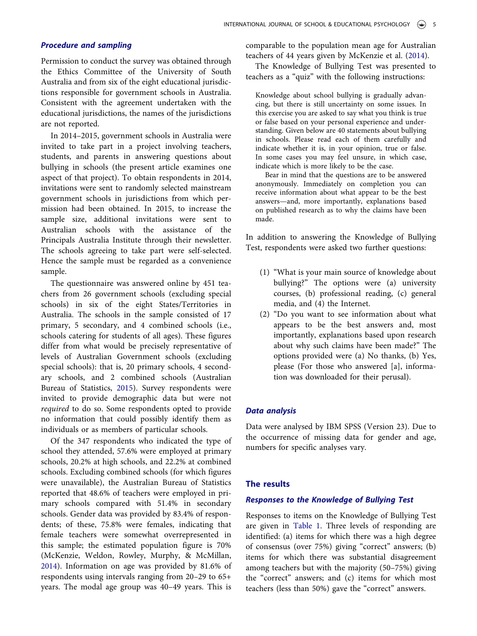## Procedure and sampling

Permission to conduct the survey was obtained through the Ethics Committee of the University of South Australia and from six of the eight educational jurisdictions responsible for government schools in Australia. Consistent with the agreement undertaken with the educational jurisdictions, the names of the jurisdictions are not reported.

In 2014–2015, government schools in Australia were invited to take part in a project involving teachers, students, and parents in answering questions about bullying in schools (the present article examines one aspect of that project). To obtain respondents in 2014, invitations were sent to randomly selected mainstream government schools in jurisdictions from which permission had been obtained. In 2015, to increase the sample size, additional invitations were sent to Australian schools with the assistance of the Principals Australia Institute through their newsletter. The schools agreeing to take part were self-selected. Hence the sample must be regarded as a convenience sample.

The questionnaire was answered online by 451 teachers from 26 government schools (excluding special schools) in six of the eight States/Territories in Australia. The schools in the sample consisted of 17 primary, 5 secondary, and 4 combined schools (i.e., schools catering for students of all ages). These figures differ from what would be precisely representative of levels of Australian Government schools (excluding special schools): that is, 20 primary schools, 4 secondary schools, and 2 combined schools (Australian Bureau of Statistics, [2015\)](#page-8-4). Survey respondents were invited to provide demographic data but were not required to do so. Some respondents opted to provide no information that could possibly identify them as individuals or as members of particular schools.

Of the 347 respondents who indicated the type of school they attended, 57.6% were employed at primary schools, 20.2% at high schools, and 22.2% at combined schools. Excluding combined schools (for which figures were unavailable), the Australian Bureau of Statistics reported that 48.6% of teachers were employed in primary schools compared with 51.4% in secondary schools. Gender data was provided by 83.4% of respondents; of these, 75.8% were females, indicating that female teachers were somewhat overrepresented in this sample; the estimated population figure is 70% (McKenzie, Weldon, Rowley, Murphy, & McMillan, [2014](#page-9-17)). Information on age was provided by 81.6% of respondents using intervals ranging from 20–29 to 65+ years. The modal age group was 40–49 years. This is

comparable to the population mean age for Australian teachers of 44 years given by McKenzie et al. ([2014\)](#page-9-17).

The Knowledge of Bullying Test was presented to teachers as a "quiz" with the following instructions:

Knowledge about school bullying is gradually advancing, but there is still uncertainty on some issues. In this exercise you are asked to say what you think is true or false based on your personal experience and understanding. Given below are 40 statements about bullying in schools. Please read each of them carefully and indicate whether it is, in your opinion, true or false. In some cases you may feel unsure, in which case, indicate which is more likely to be the case.

Bear in mind that the questions are to be answered anonymously. Immediately on completion you can receive information about what appear to be the best answers—and, more importantly, explanations based on published research as to why the claims have been made.

In addition to answering the Knowledge of Bullying Test, respondents were asked two further questions:

- (1) "What is your main source of knowledge about bullying?" The options were (a) university courses, (b) professional reading, (c) general media, and (4) the Internet.
- (2) "Do you want to see information about what appears to be the best answers and, most importantly, explanations based upon research about why such claims have been made?" The options provided were (a) No thanks, (b) Yes, please (For those who answered [a], information was downloaded for their perusal).

#### Data analysis

Data were analysed by IBM SPSS (Version 23). Due to the occurrence of missing data for gender and age, numbers for specific analyses vary.

#### The results

## Responses to the Knowledge of Bullying Test

Responses to items on the Knowledge of Bullying Test are given in [Table 1.](#page-3-0) Three levels of responding are identified: (a) items for which there was a high degree of consensus (over 75%) giving "correct" answers; (b) items for which there was substantial disagreement among teachers but with the majority (50–75%) giving the "correct" answers; and (c) items for which most teachers (less than 50%) gave the "correct" answers.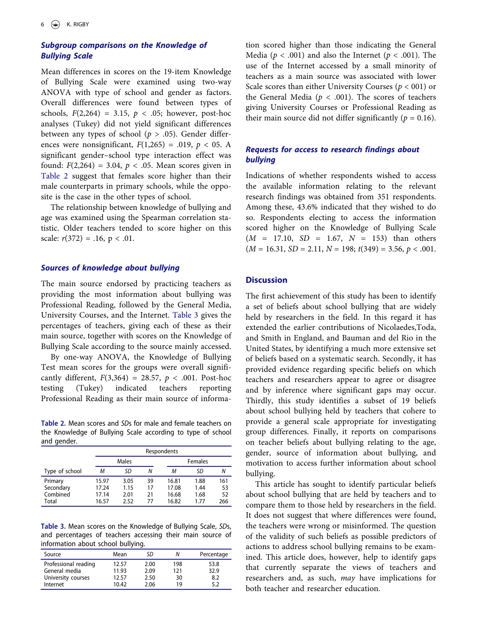# Subgroup comparisons on the Knowledge of Bullying Scale

Mean differences in scores on the 19-item Knowledge of Bullying Scale were examined using two-way ANOVA with type of school and gender as factors. Overall differences were found between types of schools,  $F(2,264) = 3.15$ ,  $p < .05$ ; however, post-hoc analyses (Tukey) did not yield significant differences between any types of school ( $p > .05$ ). Gender differences were nonsignificant,  $F(1,265) = .019$ ,  $p < 05$ . A significant gender–school type interaction effect was found:  $F(2,264) = 3.04, p < .05$ . Mean scores given in [Table 2](#page-5-0) suggest that females score higher than their male counterparts in primary schools, while the opposite is the case in the other types of school.

The relationship between knowledge of bullying and age was examined using the Spearman correlation statistic. Older teachers tended to score higher on this scale:  $r(372) = .16$ ,  $p < .01$ .

#### Sources of knowledge about bullying

The main source endorsed by practicing teachers as providing the most information about bullying was Professional Reading, followed by the General Media, University Courses, and the Internet. [Table 3](#page-5-1) gives the percentages of teachers, giving each of these as their main source, together with scores on the Knowledge of Bullying Scale according to the source mainly accessed.

By one-way ANOVA, the Knowledge of Bullying Test mean scores for the groups were overall significantly different,  $F(3,364) = 28.57$ ,  $p < .001$ . Post-hoc testing (Tukey) indicated teachers reporting Professional Reading as their main source of informa-

<span id="page-5-0"></span>Table 2. Mean scores and SDs for male and female teachers on the Knowledge of Bullying Scale according to type of school and gender.

|                |       | Respondents |    |         |      |     |  |  |  |
|----------------|-------|-------------|----|---------|------|-----|--|--|--|
|                |       | Males       |    | Females |      |     |  |  |  |
| Type of school | М     | SD          | Ν  | М       | SD   | Ν   |  |  |  |
| Primary        | 15.97 | 3.05        | 39 | 16.81   | 1.88 | 161 |  |  |  |
| Secondary      | 17.24 | 1.15        | 17 | 17.08   | 1.44 | 53  |  |  |  |
| Combined       | 17.14 | 2.01        | 21 | 16.68   | 1.68 | 52  |  |  |  |
| Total          | 16.57 | 2.52        | 77 | 16.82   | 1.77 | 266 |  |  |  |

<span id="page-5-1"></span>Table 3. Mean scores on the Knowledge of Bullying Scale, SDs, and percentages of teachers accessing their main source of information about school bullying.

| Source               | Mean  | SD   |     | Percentage |  |
|----------------------|-------|------|-----|------------|--|
| Professional reading | 12.57 | 2.00 | 198 | 53.8       |  |
| General media        | 11.93 | 2.09 | 121 | 32.9       |  |
| University courses   | 12.57 | 2.50 | 30  | 8.2        |  |
| Internet             | 10.42 | 2.06 | 19  | 5.2        |  |

tion scored higher than those indicating the General Media ( $p < .001$ ) and also the Internet ( $p < .001$ ). The use of the Internet accessed by a small minority of teachers as a main source was associated with lower Scale scores than either University Courses ( $p < 001$ ) or the General Media ( $p < .001$ ). The scores of teachers giving University Courses or Professional Reading as their main source did not differ significantly ( $p = 0.16$ ).

# Requests for access to research findings about bullying

Indications of whether respondents wished to access the available information relating to the relevant research findings was obtained from 351 respondents. Among these, 43.6% indicated that they wished to do so. Respondents electing to access the information scored higher on the Knowledge of Bullying Scale  $(M = 17.10, SD = 1.67, N = 153)$  than others  $(M = 16.31, SD = 2.11, N = 198; t(349) = 3.56, p < .001.$ 

## **Discussion**

The first achievement of this study has been to identify a set of beliefs about school bullying that are widely held by researchers in the field. In this regard it has extended the earlier contributions of Nicolaedes,Toda, and Smith in England, and Bauman and del Rio in the United States, by identifying a much more extensive set of beliefs based on a systematic search. Secondly, it has provided evidence regarding specific beliefs on which teachers and researchers appear to agree or disagree and by inference where significant gaps may occur. Thirdly, this study identifies a subset of 19 beliefs about school bullying held by teachers that cohere to provide a general scale appropriate for investigating group differences. Finally, it reports on comparisons on teacher beliefs about bullying relating to the age, gender, source of information about bullying, and motivation to access further information about school bullying.

This article has sought to identify particular beliefs about school bullying that are held by teachers and to compare them to those held by researchers in the field. It does not suggest that where differences were found, the teachers were wrong or misinformed. The question of the validity of such beliefs as possible predictors of actions to address school bullying remains to be examined. This article does, however, help to identify gaps that currently separate the views of teachers and researchers and, as such, may have implications for both teacher and researcher education.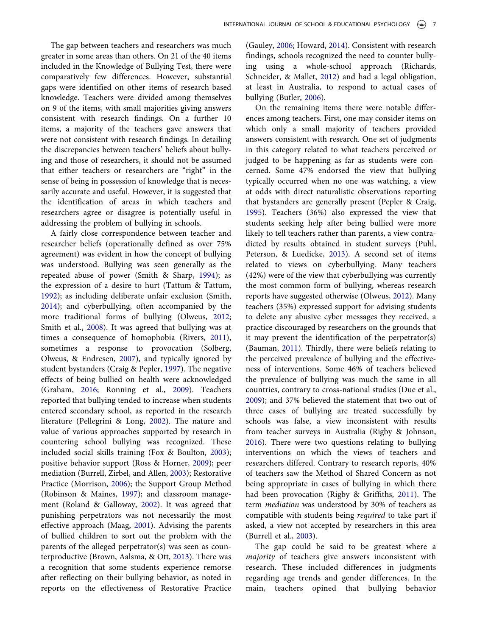The gap between teachers and researchers was much greater in some areas than others. On 21 of the 40 items included in the Knowledge of Bullying Test, there were comparatively few differences. However, substantial gaps were identified on other items of research-based knowledge. Teachers were divided among themselves on 9 of the items, with small majorities giving answers consistent with research findings. On a further 10 items, a majority of the teachers gave answers that were not consistent with research findings. In detailing the discrepancies between teachers' beliefs about bullying and those of researchers, it should not be assumed that either teachers or researchers are "right" in the sense of being in possession of knowledge that is necessarily accurate and useful. However, it is suggested that the identification of areas in which teachers and researchers agree or disagree is potentially useful in addressing the problem of bullying in schools.

A fairly close correspondence between teacher and researcher beliefs (operationally defined as over 75% agreement) was evident in how the concept of bullying was understood. Bullying was seen generally as the repeated abuse of power (Smith & Sharp, [1994](#page-10-1)); as the expression of a desire to hurt (Tattum & Tattum, [1992](#page-10-9)); as including deliberate unfair exclusion (Smith, [2014](#page-10-10)); and cyberbullying, often accompanied by the more traditional forms of bullying (Olweus, [2012;](#page-9-18) Smith et al., [2008](#page-10-11)). It was agreed that bullying was at times a consequence of homophobia (Rivers, [2011\)](#page-10-12), sometimes a response to provocation (Solberg, Olweus, & Endresen, [2007\)](#page-10-13), and typically ignored by student bystanders (Craig & Pepler, [1997](#page-9-19)). The negative effects of being bullied on health were acknowledged (Graham, [2016;](#page-9-20) Ronning et al., [2009](#page-10-14)). Teachers reported that bullying tended to increase when students entered secondary school, as reported in the research literature (Pellegrini & Long, [2002](#page-9-21)). The nature and value of various approaches supported by research in countering school bullying was recognized. These included social skills training (Fox & Boulton, [2003\)](#page-9-22); positive behavior support (Ross & Horner, [2009](#page-10-15)); peer mediation (Burrell, Zirbel, and Allen, [2003](#page-8-5)); Restorative Practice (Morrison, [2006\)](#page-9-23); the Support Group Method (Robinson & Maines, [1997](#page-10-16)); and classroom management (Roland & Galloway, [2002\)](#page-10-17). It was agreed that punishing perpetrators was not necessarily the most effective approach (Maag, [2001](#page-9-24)). Advising the parents of bullied children to sort out the problem with the parents of the alleged perpetrator(s) was seen as counterproductive (Brown, Aalsma, & Ott, [2013\)](#page-8-6). There was a recognition that some students experience remorse after reflecting on their bullying behavior, as noted in reports on the effectiveness of Restorative Practice (Gauley, [2006;](#page-9-25) Howard, [2014\)](#page-9-26). Consistent with research findings, schools recognized the need to counter bullying using a whole-school approach (Richards, Schneider, & Mallet, [2012](#page-10-18)) and had a legal obligation, at least in Australia, to respond to actual cases of bullying (Butler, [2006\)](#page-8-7).

On the remaining items there were notable differences among teachers. First, one may consider items on which only a small majority of teachers provided answers consistent with research. One set of judgments in this category related to what teachers perceived or judged to be happening as far as students were concerned. Some 47% endorsed the view that bullying typically occurred when no one was watching, a view at odds with direct naturalistic observations reporting that bystanders are generally present (Pepler & Craig, [1995](#page-9-27)). Teachers (36%) also expressed the view that students seeking help after being bullied were more likely to tell teachers rather than parents, a view contradicted by results obtained in student surveys (Puhl, Peterson, & Luedicke, [2013\)](#page-10-19). A second set of items related to views on cyberbullying. Many teachers (42%) were of the view that cyberbullying was currently the most common form of bullying, whereas research reports have suggested otherwise (Olweus, [2012\)](#page-9-18). Many teachers (35%) expressed support for advising students to delete any abusive cyber messages they received, a practice discouraged by researchers on the grounds that it may prevent the identification of the perpetrator(s) (Bauman, [2011](#page-8-8)). Thirdly, there were beliefs relating to the perceived prevalence of bullying and the effectiveness of interventions. Some 46% of teachers believed the prevalence of bullying was much the same in all countries, contrary to cross-national studies (Due et al., [2009](#page-9-28)); and 37% believed the statement that two out of three cases of bullying are treated successfully by schools was false, a view inconsistent with results from teacher surveys in Australia (Rigby & Johnson, [2016](#page-10-8)). There were two questions relating to bullying interventions on which the views of teachers and researchers differed. Contrary to research reports, 40% of teachers saw the Method of Shared Concern as not being appropriate in cases of bullying in which there had been provocation (Rigby & Griffiths, [2011\)](#page-10-20). The term mediation was understood by 30% of teachers as compatible with students being required to take part if asked, a view not accepted by researchers in this area (Burrell et al., [2003](#page-8-5)).

The gap could be said to be greatest where a majority of teachers give answers inconsistent with research. These included differences in judgments regarding age trends and gender differences. In the main, teachers opined that bullying behavior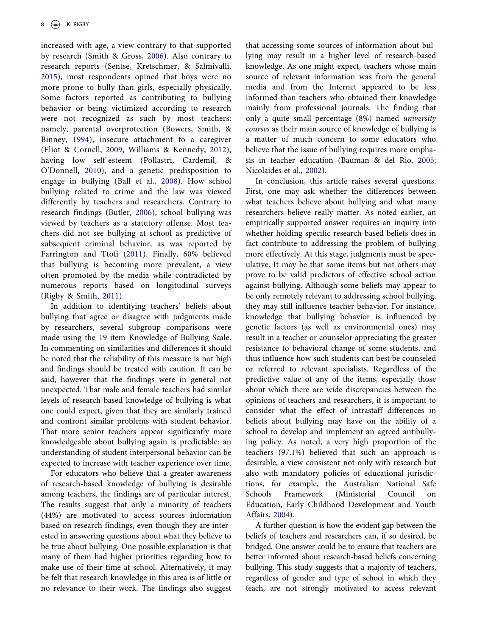increased with age, a view contrary to that supported by research (Smith & Gross, [2006\)](#page-10-21). Also contrary to research reports (Sentse, Kretschmer, & Salmivalli, [2015\)](#page-10-22), most respondents opined that boys were no more prone to bully than girls, especially physically. Some factors reported as contributing to bullying behavior or being victimized according to research were not recognized as such by most teachers: namely, parental overprotection (Bowers, Smith, & Binney, [1994](#page-8-9)), insecure attachment to a caregiver (Eliot & Cornell, [2009](#page-9-29), Williams & Kennedy, [2012\)](#page-10-23), having low self-esteem (Pollastri, Cardemil, & O'Donnell, [2010](#page-9-30)), and a genetic predisposition to engage in bullying (Ball et al., [2008](#page-8-10)). How school bullying related to crime and the law was viewed differently by teachers and researchers. Contrary to research findings (Butler, [2006](#page-8-7)), school bullying was viewed by teachers as a statutory offense. Most teachers did not see bullying at school as predictive of subsequent criminal behavior, as was reported by Farrington and Ttofi [\(2011\)](#page-9-31). Finally, 60% believed that bullying is becoming more prevalent, a view often promoted by the media while contradicted by numerous reports based on longitudinal surveys (Rigby & Smith, [2011](#page-10-4)).

In addition to identifying teachers' beliefs about bullying that agree or disagree with judgments made by researchers, several subgroup comparisons were made using the 19-item Knowledge of Bullying Scale. In commenting on similarities and differences it should be noted that the reliability of this measure is not high and findings should be treated with caution. It can be said, however that the findings were in general not unexpected. That male and female teachers had similar levels of research-based knowledge of bullying is what one could expect, given that they are similarly trained and confront similar problems with student behavior. That more senior teachers appear significantly more knowledgeable about bullying again is predictable: an understanding of student interpersonal behavior can be expected to increase with teacher experience over time.

For educators who believe that a greater awareness of research-based knowledge of bullying is desirable among teachers, the findings are of particular interest. The results suggest that only a minority of teachers (44%) are motivated to access sources information based on research findings, even though they are interested in answering questions about what they believe to be true about bullying. One possible explanation is that many of them had higher priorities regarding how to make use of their time at school. Alternatively, it may be felt that research knowledge in this area is of little or no relevance to their work. The findings also suggest

that accessing some sources of information about bullying may result in a higher level of research-based knowledge. As one might expect, teachers whose main source of relevant information was from the general media and from the Internet appeared to be less informed than teachers who obtained their knowledge mainly from professional journals. The finding that only a quite small percentage (8%) named university courses as their main source of knowledge of bullying is a matter of much concern to some educators who believe that the issue of bullying requires more emphasis in teacher education (Bauman & del Rio, [2005;](#page-8-1) Nicolaides et al., [2002\)](#page-9-4).

In conclusion, this article raises several questions. First, one may ask whether the differences between what teachers believe about bullying and what many researchers believe really matter. As noted earlier, an empirically supported answer requires an inquiry into whether holding specific research-based beliefs does in fact contribute to addressing the problem of bullying more effectively. At this stage, judgments must be speculative. It may be that some items but not others may prove to be valid predictors of effective school action against bullying. Although some beliefs may appear to be only remotely relevant to addressing school bullying, they may still influence teacher behavior. For instance, knowledge that bullying behavior is influenced by genetic factors (as well as environmental ones) may result in a teacher or counselor appreciating the greater resistance to behavioral change of some students, and thus influence how such students can best be counseled or referred to relevant specialists. Regardless of the predictive value of any of the items, especially those about which there are wide discrepancies between the opinions of teachers and researchers, it is important to consider what the effect of intrastaff differences in beliefs about bullying may have on the ability of a school to develop and implement an agreed antibullying policy. As noted, a very high proportion of the teachers (97.1%) believed that such an approach is desirable, a view consistent not only with research but also with mandatory policies of educational jurisdictions, for example, the Australian National Safe Schools Framework (Ministerial Council on Education, Early Childhood Development and Youth Affairs, [2004\)](#page-9-32).

A further question is how the evident gap between the beliefs of teachers and researchers can, if so desired, be bridged. One answer could be to ensure that teachers are better informed about research-based beliefs concerning bullying. This study suggests that a majority of teachers, regardless of gender and type of school in which they teach, are not strongly motivated to access relevant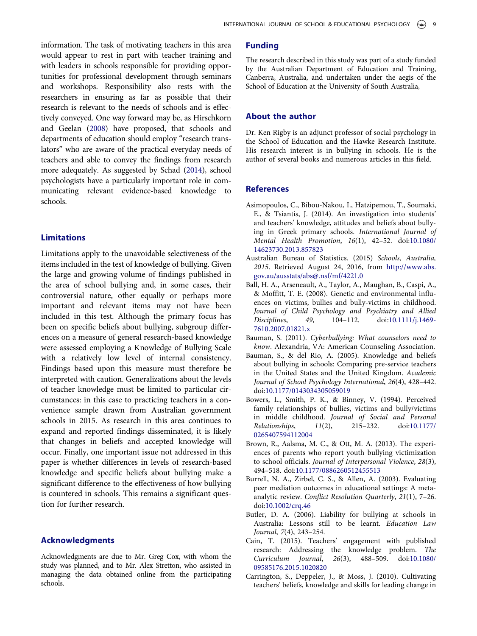information. The task of motivating teachers in this area would appear to rest in part with teacher training and with leaders in schools responsible for providing opportunities for professional development through seminars and workshops. Responsibility also rests with the researchers in ensuring as far as possible that their research is relevant to the needs of schools and is effectively conveyed. One way forward may be, as Hirschkorn and Geelan [\(2008\)](#page-9-1) have proposed, that schools and departments of education should employ "research translators" who are aware of the practical everyday needs of teachers and able to convey the findings from research more adequately. As suggested by Schad [\(2014\)](#page-10-24), school psychologists have a particularly important role in communicating relevant evidence-based knowledge to schools.

# Limitations

Limitations apply to the unavoidable selectiveness of the items included in the test of knowledge of bullying. Given the large and growing volume of findings published in the area of school bullying and, in some cases, their controversial nature, other equally or perhaps more important and relevant items may not have been included in this test. Although the primary focus has been on specific beliefs about bullying, subgroup differences on a measure of general research-based knowledge were assessed employing a Knowledge of Bullying Scale with a relatively low level of internal consistency. Findings based upon this measure must therefore be interpreted with caution. Generalizations about the levels of teacher knowledge must be limited to particular circumstances: in this case to practicing teachers in a convenience sample drawn from Australian government schools in 2015. As research in this area continues to expand and reported findings disseminated, it is likely that changes in beliefs and accepted knowledge will occur. Finally, one important issue not addressed in this paper is whether differences in levels of research-based knowledge and specific beliefs about bullying make a significant difference to the effectiveness of how bullying is countered in schools. This remains a significant question for further research.

## Acknowledgments

Acknowledgments are due to Mr. Greg Cox, with whom the study was planned, and to Mr. Alex Stretton, who assisted in managing the data obtained online from the participating schools.

### Funding

The research described in this study was part of a study funded by the Australian Department of Education and Training, Canberra, Australia, and undertaken under the aegis of the School of Education at the University of South Australia,

#### About the author

Dr. Ken Rigby is an adjunct professor of social psychology in the School of Education and the Hawke Research Institute. His research interest is in bullying in schools. He is the author of several books and numerous articles in this field.

## **References**

- <span id="page-8-3"></span>Asimopoulos, C., Bibou-Nakou, I., Hatzipemou, T., Soumaki, E., & Tsiantis, J. (2014). An investigation into students' and teachers' knowledge, attitudes and beliefs about bullying in Greek primary schools. International Journal of Mental Health Promotion, 16(1), 42–52. doi:[10.1080/](https://doi.org/10.1080/14623730.2013.857823) [14623730.2013.857823](https://doi.org/10.1080/14623730.2013.857823)
- <span id="page-8-4"></span>Australian Bureau of Statistics. (2015) Schools, Australia, 2015. Retrieved August 24, 2016, from [http://www.abs.](http://www.abs.gov.au/ausstats/abs@.nsf/mf/4221.0) [gov.au/ausstats/abs@.nsf/mf/4221.0](http://www.abs.gov.au/ausstats/abs@.nsf/mf/4221.0)
- <span id="page-8-10"></span>Ball, H. A., Arseneault, A., Taylor, A., Maughan, B., Caspi, A., & Moffitt, T. E. (2008). Genetic and environmental influences on victims, bullies and bully-victims in childhood. Journal of Child Psychology and Psychiatry and Allied Disciplines, 49, 104–112. doi:[10.1111/j.1469-](https://doi.org/10.1111/j.1469-7610.2007.01821.x) [7610.2007.01821.x](https://doi.org/10.1111/j.1469-7610.2007.01821.x)
- <span id="page-8-8"></span>Bauman, S. (2011). Cyberbullying: What counselors need to know. Alexandria, VA: American Counseling Association.
- <span id="page-8-1"></span>Bauman, S., & del Rio, A. (2005). Knowledge and beliefs about bullying in schools: Comparing pre-service teachers in the United States and the United Kingdom. Academic Journal of School Psychology International, 26(4), 428–442. doi:[10.1177/0143034305059019](https://doi.org/10.1177/0143034305059019)
- <span id="page-8-9"></span>Bowers, L., Smith, P. K., & Binney, V. (1994). Perceived family relationships of bullies, victims and bully/victims in middle childhood. Journal of Social and Personal Relationships, 11(2), 215–232. doi:[10.1177/](https://doi.org/10.1177/0265407594112004) [0265407594112004](https://doi.org/10.1177/0265407594112004)
- <span id="page-8-6"></span>Brown, R., Aalsma, M. C., & Ott, M. A. (2013). The experiences of parents who report youth bullying victimization to school officials. Journal of Interpersonal Violence, 28(3), 494–518. doi:[10.1177/0886260512455513](https://doi.org/10.1177/0886260512455513)
- <span id="page-8-5"></span>Burrell, N. A., Zirbel, C. S., & Allen, A. (2003). Evaluating peer mediation outcomes in educational settings: A metaanalytic review. Conflict Resolution Quarterly, 21(1), 7–26. doi:[10.1002/crq.46](https://doi.org/10.1002/crq.46)
- <span id="page-8-7"></span>Butler, D. A. (2006). Liability for bullying at schools in Australia: Lessons still to be learnt. Education Law Journal, 7(4), 243–254.
- <span id="page-8-0"></span>Cain, T. (2015). Teachers' engagement with published research: Addressing the knowledge problem. The Curriculum Journal, 26(3), 488–509. doi:[10.1080/](https://doi.org/10.1080/09585176.2015.1020820) [09585176.2015.1020820](https://doi.org/10.1080/09585176.2015.1020820)
- <span id="page-8-2"></span>Carrington, S., Deppeler, J., & Moss, J. (2010). Cultivating teachers' beliefs, knowledge and skills for leading change in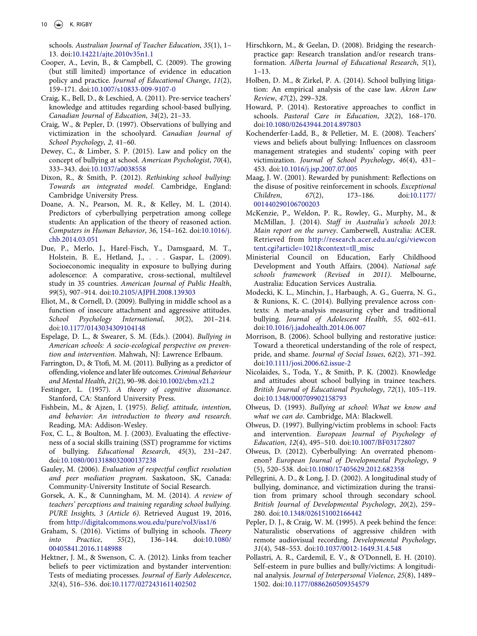schools. Australian Journal of Teacher Education, 35(1), 1– 13. doi:[10.14221/ajte.2010v35n1.1](https://doi.org/10.14221/ajte.2010v35n1.1)

- <span id="page-9-0"></span>Cooper, A., Levin, B., & Campbell, C. (2009). The growing (but still limited) importance of evidence in education policy and practice. Journal of Educational Change, 11(2), 159–171. doi:[10.1007/s10833-009-9107-0](https://doi.org/10.1007/s10833-009-9107-0)
- <span id="page-9-15"></span>Craig, K., Bell, D., & Leschied, A. (2011). Pre-service teachers' knowledge and attitudes regarding school-based bullying. Canadian Journal of Education, 34(2), 21–33.
- <span id="page-9-19"></span>Craig, W., & Pepler, D. (1997). Observations of bullying and victimization in the schoolyard. Canadian Journal of School Psychology, 2, 41–60.
- <span id="page-9-5"></span>Dewey, C., & Limber, S. P. (2015). Law and policy on the concept of bullying at school. American Psychologist, 70(4), 333–343. doi:[10.1037/a0038558](https://doi.org/10.1037/a0038558)
- <span id="page-9-7"></span>Dixon, R., & Smith, P. (2012). Rethinking school bullying: Towards an integrated model. Cambridge, England: Cambridge University Press.
- <span id="page-9-12"></span>Doane, A. N., Pearson, M. R., & Kelley, M. L. (2014). Predictors of cyberbullying perpetration among college students: An application of the theory of reasoned action. Computers in Human Behavior, 36, 154–162. doi:[10.1016/j.](https://doi.org/10.1016/j.chb.2014.03.051) [chb.2014.03.051](https://doi.org/10.1016/j.chb.2014.03.051)
- <span id="page-9-28"></span>Due, P., Merlo, J., Harel-Fisch, Y., Damsgaard, M. T., Holstein, B. E., Hetland, J., . . . Gaspar, L. (2009). Socioeconomic inequality in exposure to bullying during adolescence: A comparative, cross-sectional, multilevel study in 35 countries. American Journal of Public Health, 99(5), 907–914. doi:[10.2105/AJPH.2008.139303](https://doi.org/10.2105/AJPH.2008.139303)
- <span id="page-9-29"></span>Eliot, M., & Cornell, D. (2009). Bullying in middle school as a function of insecure attachment and aggressive attitudes. School Psychology International, 30(2), 201–214. doi:[10.1177/0143034309104148](https://doi.org/10.1177/0143034309104148)
- <span id="page-9-8"></span>Espelage, D. L., & Swearer, S. M. (Eds.). (2004). Bullying in American schools: A socio-ecological perspective on prevention and intervention. Mahwah, NJ: Lawrence Erlbaum.
- <span id="page-9-31"></span>Farrington, D., & Ttofi, M. M. (2011). Bullying as a predictor of offending, violence and later life outcomes.Criminal Behaviour and Mental Health, 21(2), 90–98. doi:[10.1002/cbm.v21.2](https://doi.org/10.1002/cbm.v21.2)
- <span id="page-9-10"></span>Festinger, L. (1957). A theory of cognitive dissonance. Stanford, CA: Stanford University Press.
- <span id="page-9-11"></span>Fishbein, M., & Ajzen, I. (1975). Belief, attitude, intention, and behavior: An introduction to theory and research. Reading, MA: Addison-Wesley.
- <span id="page-9-22"></span>Fox, C. L., & Boulton, M. J. (2003). Evaluating the effectiveness of a social skills training (SST) programme for victims of bullying. Educational Research, 45(3), 231–247. doi:[10.1080/0013188032000137238](https://doi.org/10.1080/0013188032000137238)
- <span id="page-9-25"></span>Gauley, M. (2006). Evaluation of respectful conflict resolution and peer mediation program. Saskatoon, SK, Canada: Community-University Institute of Social Research.
- <span id="page-9-16"></span>Gorsek, A. K., & Cunningham, M. M. (2014). A review of teachers' perceptions and training regarding school bullying. PURE Insights, 3 (Article 6). Retrieved August 19, 2016, from <http://digitalcommons.wou.edu/pure/vol3/iss1/6>
- <span id="page-9-20"></span>Graham, S. (2016). Victims of bullying in schools. Theory into Practice, 55(2), 136–144. doi:[10.1080/](https://doi.org/10.1080/00405841.2016.1148988) [00405841.2016.1148988](https://doi.org/10.1080/00405841.2016.1148988)
- <span id="page-9-13"></span>Hektner, J. M., & Swenson, C. A. (2012). Links from teacher beliefs to peer victimization and bystander intervention: Tests of mediating processes. Journal of Early Adolescence, 32(4), 516–536. doi:[10.1177/0272431611402502](https://doi.org/10.1177/0272431611402502)
- <span id="page-9-1"></span>Hirschkorn, M., & Geelan, D. (2008). Bridging the researchpractice gap: Research translation and/or research transformation. Alberta Journal of Educational Research, 5(1), 1–13.
- <span id="page-9-6"></span>Holben, D. M., & Zirkel, P. A. (2014). School bullying litigation: An empirical analysis of the case law. Akron Law Review, 47(2), 299–328.
- <span id="page-9-26"></span>Howard, P. (2014). Restorative approaches to conflict in schools. Pastoral Care in Education, 32(2), 168–170. doi:[10.1080/02643944.2014.897803](https://doi.org/10.1080/02643944.2014.897803)
- <span id="page-9-14"></span>Kochenderfer-Ladd, B., & Pelletier, M. E. (2008). Teachers' views and beliefs about bullying: Influences on classroom management strategies and students' coping with peer victimization. Journal of School Psychology, 46(4), 431– 453. doi:[10.1016/j.jsp.2007.07.005](https://doi.org/10.1016/j.jsp.2007.07.005)
- <span id="page-9-24"></span>Maag, J. W. (2001). Rewarded by punishment: Reflections on the disuse of positive reinforcement in schools. *Exceptional*<br>Children, 67(2), 173-186. doi:10.1177/ Children, 67(2), 173–186. doi:[10.1177/](https://doi.org/10.1177/001440290106700203) [001440290106700203](https://doi.org/10.1177/001440290106700203)
- <span id="page-9-17"></span>McKenzie, P., Weldon, P. R., Rowley, G., Murphy, M., & McMillan, J. (2014). Staff in Australia's schools 2013: Main report on the survey. Camberwell, Australia: ACER. Retrieved from [http://research.acer.edu.au/cgi/viewcon](http://research.acer.edu.au/cgi/viewcontent.cgi?article=1021%26context=tll_misc) [tent.cgi?article=1021&context=tll\\_misc](http://research.acer.edu.au/cgi/viewcontent.cgi?article=1021%26context=tll_misc)
- <span id="page-9-32"></span>Ministerial Council on Education, Early Childhood Development and Youth Affairs. (2004). National safe schools framework (Revised in 2011). Melbourne, Australia: Education Services Australia.
- <span id="page-9-3"></span>Modecki, K. L., Minchin, J., Harbaugh, A. G., Guerra, N. G., & Runions, K. C. (2014). Bullying prevalence across contexts: A meta-analysis measuring cyber and traditional bullying. Journal of Adolescent Health, 55, 602–611. doi:[10.1016/j.jadohealth.2014.06.007](https://doi.org/10.1016/j.jadohealth.2014.06.007)
- <span id="page-9-23"></span>Morrison, B. (2006). School bullying and restorative justice: Toward a theoretical understanding of the role of respect, pride, and shame. Journal of Social Issues, 62(2), 371–392. doi:[10.1111/josi.2006.62.issue-2](https://doi.org/10.1111/josi.2006.62.issue-2)
- <span id="page-9-4"></span>Nicolaides, S., Toda, Y., & Smith, P. K. (2002). Knowledge and attitudes about school bullying in trainee teachers. British Journal of Educational Psychology, 72(1), 105–119. doi:[10.1348/000709902158793](https://doi.org/10.1348/000709902158793)
- <span id="page-9-2"></span>Olweus, D. (1993). Bullying at school: What we know and what we can do. Cambridge, MA: Blackwell.
- <span id="page-9-9"></span>Olweus, D. (1997). Bullying/victim problems in school: Facts and intervention. European Journal of Psychology of Education, 12(4), 495–510. doi:[10.1007/BF03172807](https://doi.org/10.1007/BF03172807)
- <span id="page-9-18"></span>Olweus, D. (2012). Cyberbullying: An overrated phenomenon? European Journal of Developmental Psychology, 9 (5), 520–538. doi:[10.1080/17405629.2012.682358](https://doi.org/10.1080/17405629.2012.682358)
- <span id="page-9-21"></span>Pellegrini, A. D., & Long, J. D. (2002). A longitudinal study of bullying, dominance, and victimization during the transition from primary school through secondary school. British Journal of Developmental Psychology, 20(2), 259– 280. doi:[10.1348/026151002166442](https://doi.org/10.1348/026151002166442)
- <span id="page-9-27"></span>Pepler, D. J., & Craig, W. M. (1995). A peek behind the fence: Naturalistic observations of aggressive children with remote audiovisual recording. Developmental Psychology, 31(4), 548–553. doi:[10.1037/0012-1649.31.4.548](https://doi.org/10.1037/0012-1649.31.4.548)
- <span id="page-9-30"></span>Pollastri, A. R., Cardemil, E. V., & O'Donnell, E. H. (2010). Self-esteem in pure bullies and bully/victims: A longitudinal analysis. Journal of Interpersonal Violence, 25(8), 1489– 1502. doi:[10.1177/0886260509354579](https://doi.org/10.1177/0886260509354579)